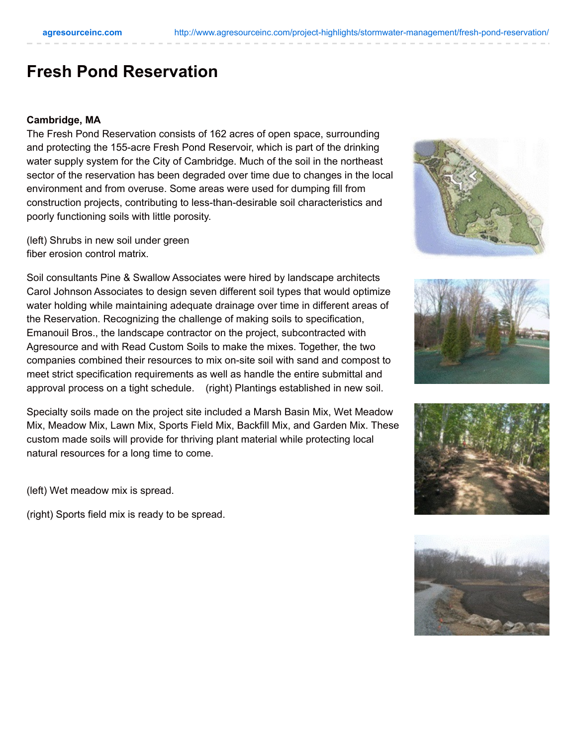## **Fresh Pond Reservation**

## **Cambridge, MA**

The Fresh Pond Reservation consists of 162 acres of open space, surrounding and protecting the 155-acre Fresh Pond Reservoir, which is part of the drinking water supply system for the City of Cambridge. Much of the soil in the northeast sector of the reservation has been degraded over time due to changes in the local environment and from overuse. Some areas were used for dumping fill from construction projects, contributing to less-than-desirable soil characteristics and poorly functioning soils with little porosity.

(left) Shrubs in new soil under green fiber erosion control matrix.

Soil consultants Pine & Swallow Associates were hired by landscape architects Carol Johnson Associates to design seven different soil types that would optimize water holding while maintaining adequate drainage over time in different areas of the Reservation. Recognizing the challenge of making soils to specification, Emanouil Bros., the landscape contractor on the project, subcontracted with Agresource and with Read Custom Soils to make the mixes. Together, the two companies combined their resources to mix on-site soil with sand and compost to meet strict specification requirements as well as handle the entire submittal and approval process on a tight schedule. (right) Plantings established in new soil.

Specialty soils made on the project site included a Marsh Basin Mix, Wet Meadow Mix, Meadow Mix, Lawn Mix, Sports Field Mix, Backfill Mix, and Garden Mix. These custom made soils will provide for thriving plant material while protecting local natural resources for a long time to come.

(left) Wet meadow mix is spread.

(right) Sports field mix is ready to be spread.